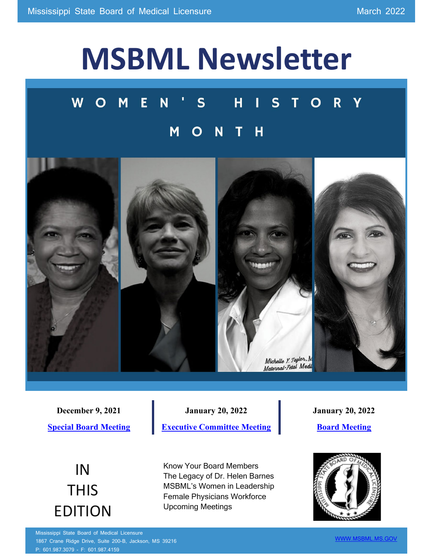# **MSBML Newsletter**

#### $S$ W M E N  $H$ T  $S$ R  $\overline{\mathsf{v}}$  $\Omega$  $\overline{\mathsf{H}}$ N M



**December 9, 2021 [Special Board Meeting](https://www.msbml.ms.gov/sites/default/files/Board%20Minutes/2021/12_09_2021%20Special%20Board%20Meeting%20Minutes.pdf)**

**January 20, 2022 [Executive Committee Meeting](https://www.msbml.ms.gov/sites/default/files/Board%20Minutes/2022/Jan%202022%20EC%20Minutes%20final.pdf)**

IN **THIS** EDITION Know Your Board Members The Legacy of Dr. Helen Barnes MSBML's Women in Leadership Female Physicians Workforce Upcoming Meetings

**January 20, 2022**

**[Board Meeting](https://www.msbml.ms.gov/sites/default/files/Board%20Minutes/2022/Jan%202022%20Board%20Mtg%20Minutes%20final.pdf)**



Mississippi State Board of Medical Licensure 1867 Crane Ridge Drive, Suite 200-B, Jackson, MS 39216 P: 601.987.3079 - F: 601.987.4159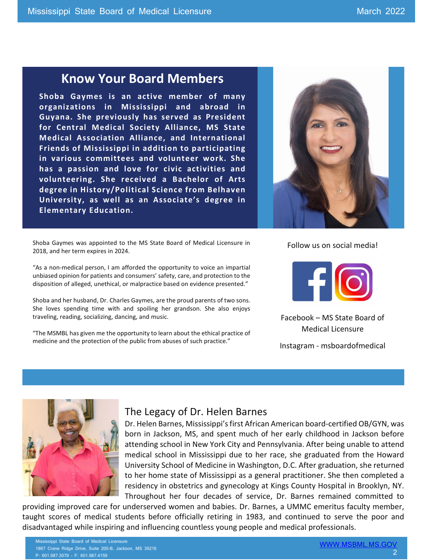#### **Know Your Board Members**

**Shoba Gaymes is an active member of many organizations in Mississippi and abroad in Guyana. She previously has served as President for Central Medical Society Alliance, MS State Medical Association Alliance, and International Friends of Mississippi in addition to participating in various committees and volunteer work. She has a passion and love for civic activities and volunteering. She received a Bachelor of Arts degree in History/Political Science from Belhaven University, as well as an Associate's degree in Elementary Education.**

Shoba Gaymes was appointed to the MS State Board of Medical Licensure in 2018, and her term expires in 2024.

"As a non-medical person, I am afforded the opportunity to voice an impartial unbiased opinion for patients and consumers' safety, care, and protection to the disposition of alleged, unethical, or malpractice based on evidence presented."

Shoba and her husband, Dr. Charles Gaymes, are the proud parents of two sons. She loves spending time with and spoiling her grandson. She also enjoys traveling, reading, socializing, dancing, and music.

"The MSMBL has given me the opportunity to learn about the ethical practice of medicine and the protection of the public from abuses of such practice."

Follow us on social media!



Facebook – MS State Board of Medical Licensure

Instagram - msboardofmedical



#### The Legacy of Dr. Helen Barnes

Dr. Helen Barnes, Mississippi's first African American board-certified OB/GYN, was born in Jackson, MS, and spent much of her early childhood in Jackson before attending school in New York City and Pennsylvania. After being unable to attend medical school in Mississippi due to her race, she graduated from the Howard University School of Medicine in Washington, D.C. After graduation, she returned to her home state of Mississippi as a general practitioner. She then completed a residency in obstetrics and gynecology at Kings County Hospital in Brooklyn, NY. Throughout her four decades of service, Dr. Barnes remained committed to

providing improved care for underserved women and babies. Dr. Barnes, a UMMC emeritus faculty member, taught scores of medical students before officially retiring in 1983, and continued to serve the poor and disadvantaged while inspiring and influencing countless young people and medical professionals.

Mississippi State Board of Medical Licensure 1867 Crane Ridge Drive, Suite 200-B, Jackson, MS 39216 P: 601.987.3079 - F: 601.987.4159

[WWW.MSBML.MS.GOV](http://www.msbml.ms.gov/) 2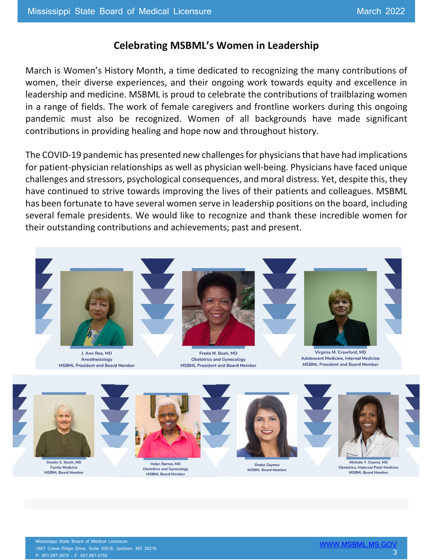#### **Celebrating MSBML's Women in Leadership**

March is Women's History Month, a time dedicated to recognizing the many contributions of women, their diverse experiences, and their ongoing work towards equity and excellence in leadership and medicine. MSBML is proud to celebrate the contributions of trailblazing women in a range of fields. The work of female caregivers and frontline workers during this ongoing pandemic must also be recognized. Women of all backgrounds have made significant contributions in providing healing and hope now and throughout history.

The COVID-19 pandemic has presented new challenges for physicians that have had implications for patient-physician relationships as well as physician well-being. Physicians have faced unique challenges and stressors, psychological consequences, and moral distress. Yet, despite this, they have continued to strive towards improving the lives of their patients and colleagues. MSBML has been fortunate to have several women serve in leadership positions on the board, including several female presidents. We would like to recognize and thank these incredible women for their outstanding contributions and achievements; past and present.



J. Ann Rea, MD Anesthesiology **MSBML President and Board Member** 



Freda M. Bush, MD **Obstetrics and Gynecology MSBML President and Board Member** 



Virginia M. Crawford, MD Adolescent Medicine, Internal Medicine **MSBML President and Board Member** 



**Obstetrics and Gynecology** 

**MSBML Board Member** 

**Shoba Gaymes** 

**MSBML Board Member** 

Michelle Y Owens MD **Obstetrics, Maternal-Fetal Medicine MSBML Board Membe** 

**Family Medicine** 

MSBML Board Memb